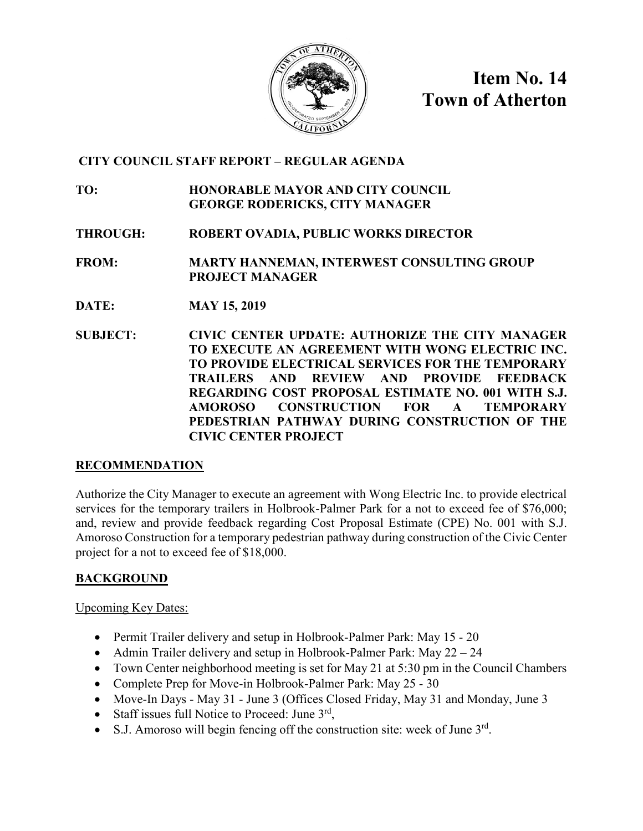

**Item No. 14 Town of Atherton**

# **CITY COUNCIL STAFF REPORT – REGULAR AGENDA**

**TO: HONORABLE MAYOR AND CITY COUNCIL GEORGE RODERICKS, CITY MANAGER**

**THROUGH: ROBERT OVADIA, PUBLIC WORKS DIRECTOR**

**FROM: MARTY HANNEMAN, INTERWEST CONSULTING GROUP PROJECT MANAGER**

- **DATE: MAY 15, 2019**
- **SUBJECT: CIVIC CENTER UPDATE: AUTHORIZE THE CITY MANAGER TO EXECUTE AN AGREEMENT WITH WONG ELECTRIC INC. TO PROVIDE ELECTRICAL SERVICES FOR THE TEMPORARY TRAILERS AND REVIEW AND PROVIDE FEEDBACK REGARDING COST PROPOSAL ESTIMATE NO. 001 WITH S.J. AMOROSO CONSTRUCTION FOR A TEMPORARY PEDESTRIAN PATHWAY DURING CONSTRUCTION OF THE CIVIC CENTER PROJECT**

# **RECOMMENDATION**

Authorize the City Manager to execute an agreement with Wong Electric Inc. to provide electrical services for the temporary trailers in Holbrook-Palmer Park for a not to exceed fee of \$76,000; and, review and provide feedback regarding Cost Proposal Estimate (CPE) No. 001 with S.J. Amoroso Construction for a temporary pedestrian pathway during construction of the Civic Center project for a not to exceed fee of \$18,000.

# **BACKGROUND**

Upcoming Key Dates:

- Permit Trailer delivery and setup in Holbrook-Palmer Park: May 15 20
- Admin Trailer delivery and setup in Holbrook-Palmer Park: May 22 24
- Town Center neighborhood meeting is set for May 21 at 5:30 pm in the Council Chambers
- Complete Prep for Move-in Holbrook-Palmer Park: May 25 30
- Move-In Days May 31 June 3 (Offices Closed Friday, May 31 and Monday, June 3
- Staff issues full Notice to Proceed: June  $3<sup>rd</sup>$ ,
- S.J. Amoroso will begin fencing off the construction site: week of June  $3<sup>rd</sup>$ .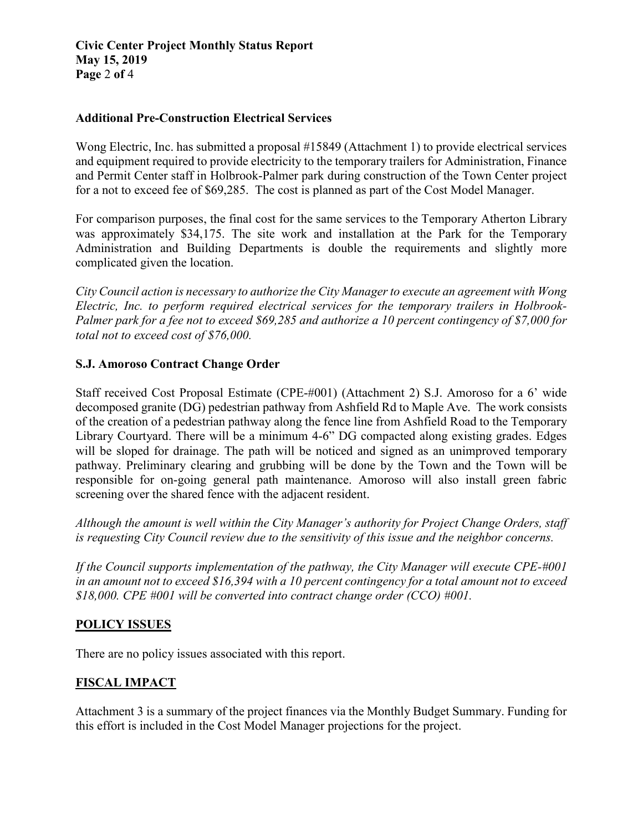## **Additional Pre-Construction Electrical Services**

Wong Electric, Inc. has submitted a proposal #15849 (Attachment 1) to provide electrical services and equipment required to provide electricity to the temporary trailers for Administration, Finance and Permit Center staff in Holbrook-Palmer park during construction of the Town Center project for a not to exceed fee of \$69,285. The cost is planned as part of the Cost Model Manager.

For comparison purposes, the final cost for the same services to the Temporary Atherton Library was approximately \$34,175. The site work and installation at the Park for the Temporary Administration and Building Departments is double the requirements and slightly more complicated given the location.

*City Council action is necessary to authorize the City Manager to execute an agreement with Wong Electric, Inc. to perform required electrical services for the temporary trailers in Holbrook-Palmer park for a fee not to exceed \$69,285 and authorize a 10 percent contingency of \$7,000 for total not to exceed cost of \$76,000.*

# **S.J. Amoroso Contract Change Order**

Staff received Cost Proposal Estimate (CPE-#001) (Attachment 2) S.J. Amoroso for a 6' wide decomposed granite (DG) pedestrian pathway from Ashfield Rd to Maple Ave. The work consists of the creation of a pedestrian pathway along the fence line from Ashfield Road to the Temporary Library Courtyard. There will be a minimum 4-6" DG compacted along existing grades. Edges will be sloped for drainage. The path will be noticed and signed as an unimproved temporary pathway. Preliminary clearing and grubbing will be done by the Town and the Town will be responsible for on-going general path maintenance. Amoroso will also install green fabric screening over the shared fence with the adjacent resident.

*Although the amount is well within the City Manager's authority for Project Change Orders, staff is requesting City Council review due to the sensitivity of this issue and the neighbor concerns.*

*If the Council supports implementation of the pathway, the City Manager will execute CPE-#001 in an amount not to exceed \$16,394 with a 10 percent contingency for a total amount not to exceed \$18,000. CPE #001 will be converted into contract change order (CCO) #001.*

# **POLICY ISSUES**

There are no policy issues associated with this report.

# **FISCAL IMPACT**

Attachment 3 is a summary of the project finances via the Monthly Budget Summary. Funding for this effort is included in the Cost Model Manager projections for the project.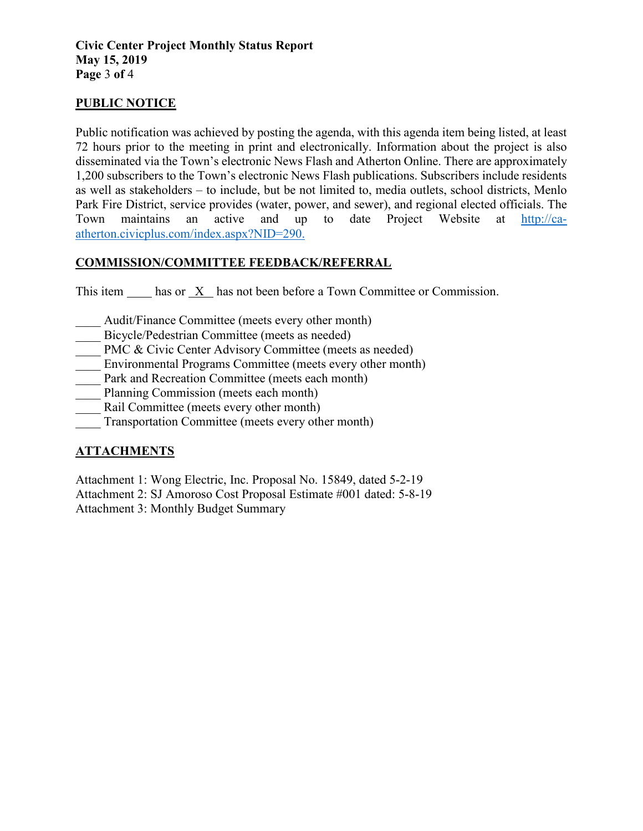# **PUBLIC NOTICE**

Public notification was achieved by posting the agenda, with this agenda item being listed, at least 72 hours prior to the meeting in print and electronically. Information about the project is also disseminated via the Town's electronic News Flash and Atherton Online. There are approximately 1,200 subscribers to the Town's electronic News Flash publications. Subscribers include residents as well as stakeholders – to include, but be not limited to, media outlets, school districts, Menlo Park Fire District, service provides (water, power, and sewer), and regional elected officials. The Town maintains an active and up to date Project Website at [http://ca](http://ca-atherton.civicplus.com/index.aspx?NID=290)[atherton.civicplus.com/index.aspx?NID=290.](http://ca-atherton.civicplus.com/index.aspx?NID=290)

# **COMMISSION/COMMITTEE FEEDBACK/REFERRAL**

This item has or X has not been before a Town Committee or Commission.

- Audit/Finance Committee (meets every other month)
- Bicycle/Pedestrian Committee (meets as needed)
- PMC & Civic Center Advisory Committee (meets as needed)
- Environmental Programs Committee (meets every other month)
- Park and Recreation Committee (meets each month)
- Planning Commission (meets each month)
- Rail Committee (meets every other month)
- \_\_\_\_ Transportation Committee (meets every other month)

# **ATTACHMENTS**

Attachment 1: Wong Electric, Inc. Proposal No. 15849, dated 5-2-19 Attachment 2: SJ Amoroso Cost Proposal Estimate #001 dated: 5-8-19 Attachment 3: Monthly Budget Summary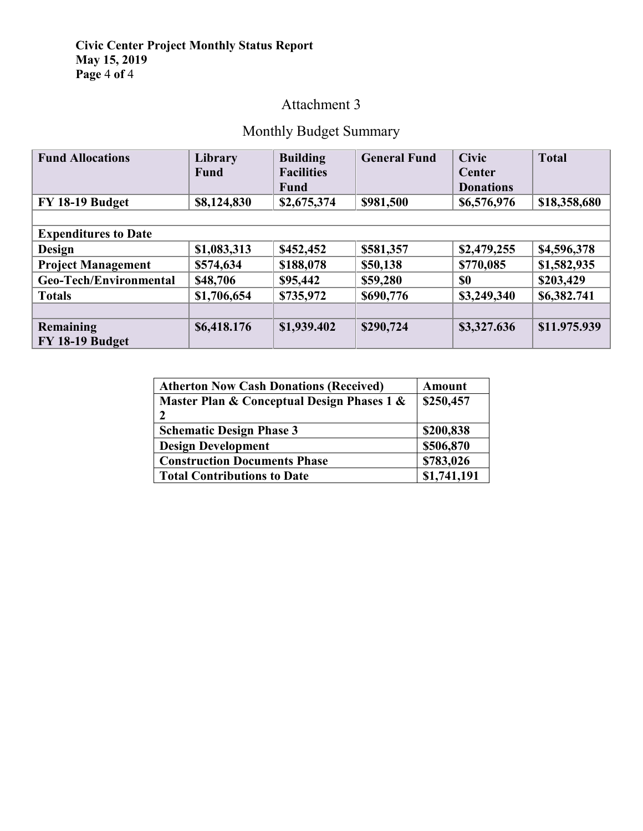## **Civic Center Project Monthly Status Report May 15, 2019 Page** 4 **of** 4

# Attachment 3

# Monthly Budget Summary

| <b>Fund Allocations</b>     | Library     | <b>Building</b>   | <b>General Fund</b> | <b>Civic</b>     | <b>Total</b> |
|-----------------------------|-------------|-------------------|---------------------|------------------|--------------|
|                             | <b>Fund</b> | <b>Facilities</b> |                     | Center           |              |
|                             |             | <b>Fund</b>       |                     | <b>Donations</b> |              |
| FY 18-19 Budget             | \$8,124,830 | \$2,675,374       | \$981,500           | \$6,576,976      | \$18,358,680 |
|                             |             |                   |                     |                  |              |
| <b>Expenditures to Date</b> |             |                   |                     |                  |              |
| <b>Design</b>               | \$1,083,313 | \$452,452         | \$581,357           | \$2,479,255      | \$4,596,378  |
| <b>Project Management</b>   | \$574,634   | \$188,078         | \$50,138            | \$770,085        | \$1,582,935  |
| Geo-Tech/Environmental      | \$48,706    | \$95,442          | \$59,280            | \$0              | \$203,429    |
| <b>Totals</b>               | \$1,706,654 | \$735,972         | \$690,776           | \$3,249,340      | \$6,382.741  |
|                             |             |                   |                     |                  |              |
| Remaining                   | \$6,418.176 | \$1,939.402       | \$290,724           | \$3,327.636      | \$11.975.939 |
| <b>FY 18-19 Budget</b>      |             |                   |                     |                  |              |

| <b>Atherton Now Cash Donations (Received)</b> | Amount      |
|-----------------------------------------------|-------------|
| Master Plan & Conceptual Design Phases 1 &    | \$250,457   |
| י                                             |             |
| <b>Schematic Design Phase 3</b>               | \$200,838   |
| <b>Design Development</b>                     | \$506,870   |
| <b>Construction Documents Phase</b>           | \$783,026   |
| <b>Total Contributions to Date</b>            | \$1,741,191 |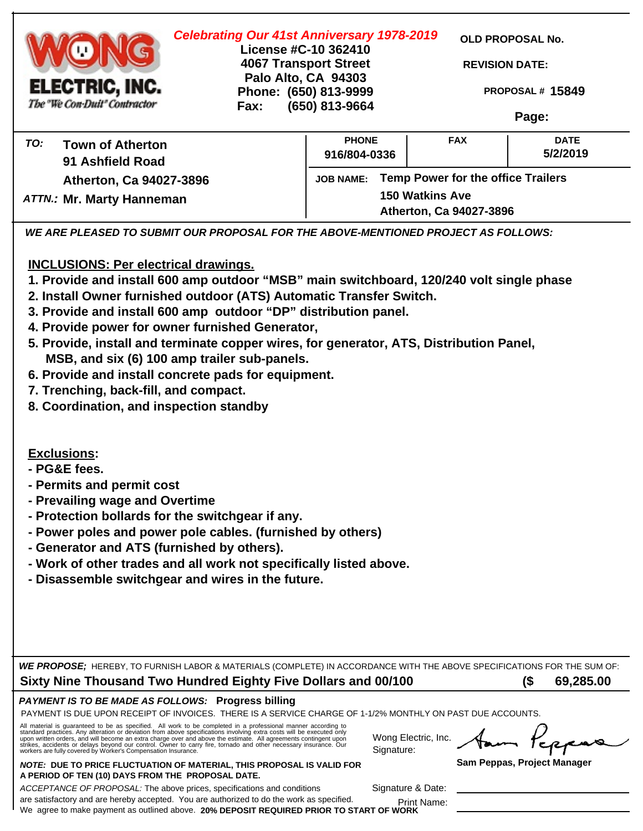| <b>Celebrating Our 41st Anniversary 1978-2019</b><br>License #C-10 362410<br><b>4067 Transport Street</b><br>Palo Alto, CA 94303<br>ELECTRIC, INC.<br>Phone: (650) 813-9999<br>The "We Con-Duit" Contractor<br>Fax: | (650) 813-9664                                                             |                                                                                    | OLD PROPOSAL No.<br><b>REVISION DATE:</b><br>PROPOSAL# 15849<br>Page: |  |  |
|---------------------------------------------------------------------------------------------------------------------------------------------------------------------------------------------------------------------|----------------------------------------------------------------------------|------------------------------------------------------------------------------------|-----------------------------------------------------------------------|--|--|
| TO:<br><b>Town of Atherton</b><br>91 Ashfield Road<br>Atherton, Ca 94027-3896<br><b>ATTN.: Mr. Marty Hanneman</b>                                                                                                   | <b>PHONE</b><br>916/804-0336<br><b>JOB NAME:</b><br><b>150 Watkins Ave</b> | <b>FAX</b><br><b>Temp Power for the office Trailers</b><br>Atherton, Ca 94027-3896 | <b>DATE</b><br>5/2/2019                                               |  |  |

*WE ARE PLEASED TO SUBMIT OUR PROPOSAL FOR THE ABOVE-MENTIONED PROJECT AS FOLLOWS:*

**INCLUSIONS: Per electrical drawings.**

- **1. Provide and install 600 amp outdoor "MSB" main switchboard, 120/240 volt single phase**
- **2. Install Owner furnished outdoor (ATS) Automatic Transfer Switch.**
- **3. Provide and install 600 amp outdoor "DP" distribution panel.**
- **4. Provide power for owner furnished Generator,**
- **5. Provide, install and terminate copper wires, for generator, ATS, Distribution Panel, MSB, and six (6) 100 amp trailer sub-panels.**
- **6. Provide and install concrete pads for equipment.**
- **7. Trenching, back-fill, and compact.**
- **8. Coordination, and inspection standby**

**Exclusions:**

**- PG&E fees.**

- **Permits and permit cost**
- **Prevailing wage and Overtime**
- **Protection bollards for the switchgear if any.**
- **Power poles and power pole cables. (furnished by others)**
- **Generator and ATS (furnished by others).**
- **Work of other trades and all work not specifically listed above.**
- **Disassemble switchgear and wires in the future.**

*WE PROPOSE;* HEREBY, TO FURNISH LABOR & MATERIALS (COMPLETE) IN ACCORDANCE WITH THE ABOVE SPECIFICATIONS FOR THE SUM OF: **(\$ ) Sixty Nine Thousand Two Hundred Eighty Five Dollars and 00/100** 

### *PAYMENT IS TO BE MADE AS FOLLOWS:* **Progress billing**

PAYMENT IS DUE UPON RECEIPT OF INVOICES. THERE IS A SERVICE CHARGE OF 1-1/2% MONTHLY ON PAST DUE ACCOUNTS.

All material is guaranteed to be as specified. All work to be completed in a professional manner according to<br>standard practices. Any alteration or deviation from above specifications involving extra costs will be executed

*NOTE:* **DUE TO PRICE FLUCTUATION OF MATERIAL, THIS PROPOSAL IS VALID FOR A PERIOD OF TEN (10) DAYS FROM THE PROPOSAL DATE.**

Wong Electric, Inc. Signature:

**Sam Peppas, Project Manager**

*ACCEPTANCE OF PROPOSAL:* The above prices, specifications and conditions are satisfactory and are hereby accepted. You are authorized to do the work as specified. We agree to make payment as outlined above. **20% DEPOSIT REQUIRED PRIOR TO START OF WORK** Signature & Date:

Print Name: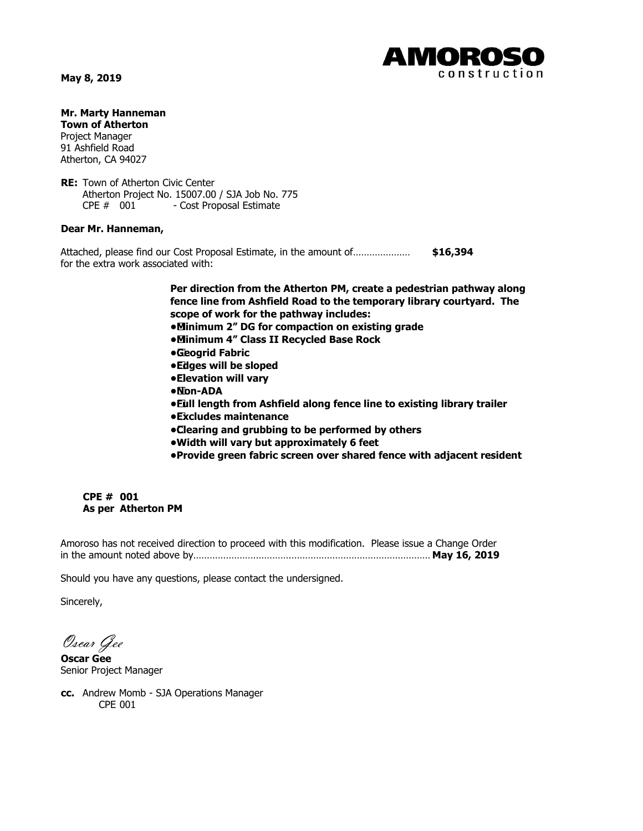**May 8, 2019**



**Mr. Marty Hanneman Town of Atherton**

Project Manager 91 Ashfield Road Atherton, CA 94027

**RE:** Town of Atherton Civic Center Atherton Project No. 15007.00 / SJA Job No. 775 CPE # 001 - Cost Proposal Estimate

#### **Dear Mr. Hanneman,**

Attached, please find our Cost Proposal Estimate, in the amount of………………… **\$16,394** for the extra work associated with:

> **Per direction from the Atherton PM, create a pedestrian pathway along fence line from Ashfield Road to the temporary library courtyard. The scope of work for the pathway includes:**

**• Minimum 2" DG for compaction on existing grade**

**• Minimum 4" Class II Recycled Base Rock**

- **• Geogrid Fabric**
- **• Edges will be sloped**
- **• Elevation will vary**
- **• Non-ADA**
- **• Full length from Ashfield along fence line to existing library trailer**
- **• Excludes maintenance**
- **• Clearing and grubbing to be performed by others**
- **•Width will vary but approximately 6 feet**
- **•Provide green fabric screen over shared fence with adjacent resident**

#### **CPE # 001 As per Atherton PM**

Amoroso has not received direction to proceed with this modification. Please issue a Change Order in the amount noted above by……………………………………………………………………………………………………………….. **May 16, 2019**

Should you have any questions, please contact the undersigned.

Sincerely,

Oscar Gee

**Oscar Gee** Senior Project Manager

**cc.** Andrew Momb - SJA Operations Manager CPE 001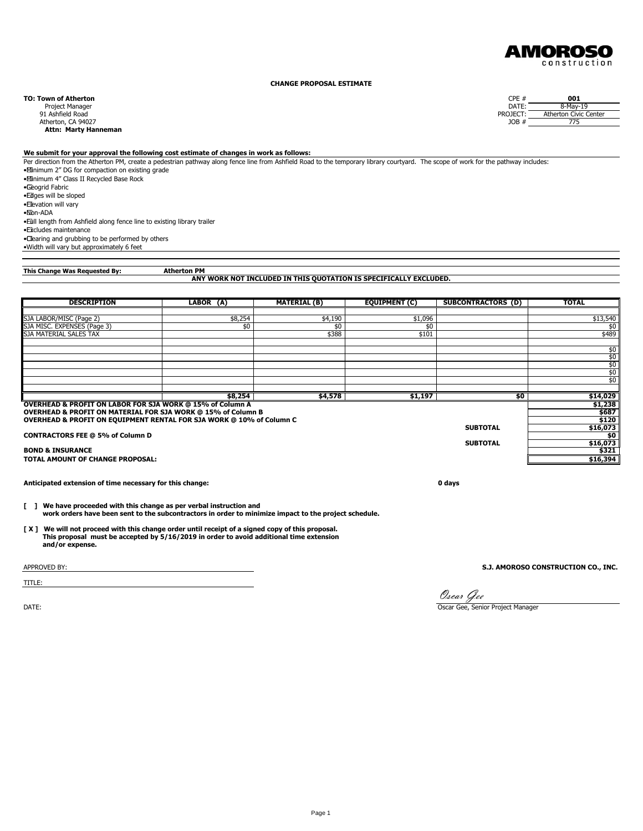

#### **CHANGE PROPOSAL ESTIMATE**

Atherton, CA 94027 JOB # 7756 JOB # 7756 JOB # 7756 JOB # 7756 JOB # 7756 JOB # 7756 JOB # 7756 JOB # 7756 JOB # 7756 JOB # 7756 JOB # 7756 JOB # 7756 JOB # 7756 JOB # 7756 JOB # 7756 JOB # 7756 JOB # 7756 JOB # 7756 JOB #  **Attn: Marty Hanneman**

#### **We submit for your approval the following cost estimate of changes in work as follows:**

Per direction from the Atherton PM, create a pedestrian pathway along fence line from Ashfield Road to the temporary library courtyard. The scope of work for the pathway includes: • Minimum 2" DG for compaction on existing grade • Minimum 4" Class II Recycled Base Rock • Geogrid Fabric • Edges will be sloped • Elevation will vary • Non-ADA • Full length from Ashfield along fence line to existing library trailer • Excludes maintenance • Clearing and grubbing to be performed by others

•Width will vary but approximately 6 feet

**This Change Was Requested By:**

## Atherton PM<br>ANY WORK NOT INCLUDED IN THIS QUOTATION IS SPECIFICALLY EXCLUDED.

| <b>DESCRIPTION</b>                                                   | LABOR (A) | <b>MATERIAL (B)</b> | <b>EQUIPMENT (C)</b> | SUBCONTRACTORS (D) | <b>TOTAL</b> |
|----------------------------------------------------------------------|-----------|---------------------|----------------------|--------------------|--------------|
|                                                                      |           |                     |                      |                    |              |
| SJA LABOR/MISC (Page 2)                                              | \$8,254   | \$4,190             | \$1,096              |                    | \$13,540     |
| SJA MISC. EXPENSES (Page 3)                                          | \$0       | \$0                 | \$0                  |                    | \$0          |
| <b>ISJA MATERIAL SALES TAX</b>                                       |           | \$388               | \$101                |                    | \$489        |
|                                                                      |           |                     |                      |                    |              |
|                                                                      |           |                     |                      |                    | \$0          |
|                                                                      |           |                     |                      |                    | \$0          |
|                                                                      |           |                     |                      |                    | \$0          |
|                                                                      |           |                     |                      |                    | \$0          |
|                                                                      |           |                     |                      |                    | \$0          |
|                                                                      |           |                     |                      |                    |              |
|                                                                      | \$8,254   | \$4,578             | \$1,197              | \$0                | \$14,029     |
| OVERHEAD & PROFIT ON LABOR FOR SJA WORK @ 15% of Column A            |           |                     |                      |                    | \$1,238      |
| OVERHEAD & PROFIT ON MATERIAL FOR SJA WORK @ 15% of Column B         |           |                     |                      |                    | \$687        |
| OVERHEAD & PROFIT ON EQUIPMENT RENTAL FOR SJA WORK @ 10% of Column C |           |                     |                      |                    | \$120        |
|                                                                      |           |                     |                      | <b>SUBTOTAL</b>    | \$16,073     |
| <b>CONTRACTORS FEE @ 5% of Column D</b>                              |           |                     |                      |                    | \$0          |
|                                                                      |           |                     |                      | <b>SUBTOTAL</b>    | \$16,073     |
| <b>BOND &amp; INSURANCE</b>                                          |           |                     |                      |                    | \$321        |
| <b>TOTAL AMOUNT OF CHANGE PROPOSAL:</b>                              |           |                     |                      |                    | \$16,394     |

**Anticipated extension of time necessary for this change: 0 days**

**[ ] We have proceeded with this change as per verbal instruction and work orders have been sent to the subcontractors in order to minimize impact to the project schedule.**

**[ X ] We will not proceed with this change order until receipt of a signed copy of this proposal. This proposal must be accepted by 5/16/2019 in order to avoid additional time extension and/or expense.**

TITLE:

APPROVED BY: **S.J. AMOROSO CONSTRUCTION CO., INC.**

Oscar Gee

DATE: **CONSIDENT CONSIDER** THE CONSIDERED ASSESSED FOR A SERVICE OF SERVICE OF SERVICE OF SERVICE OF SERVICE OF SERVICE OF SERVICE OF SERVICE OF SERVICE OF SERVICE OF SERVICE OF SERVICE OF SERVICE OF SERVICE OF SERVICE OF

**TO: Town of Atherton**<br> **Project Manager**<br> **PROJECT:** Atherton Civic Center<br> **PROJECT:** Atherton Civic Center<br> **PROJECT:** Atherton Civic Center Project Manager DATE: 8-May-19 91 Ashfield Road PROJECT: Atherton Civic Center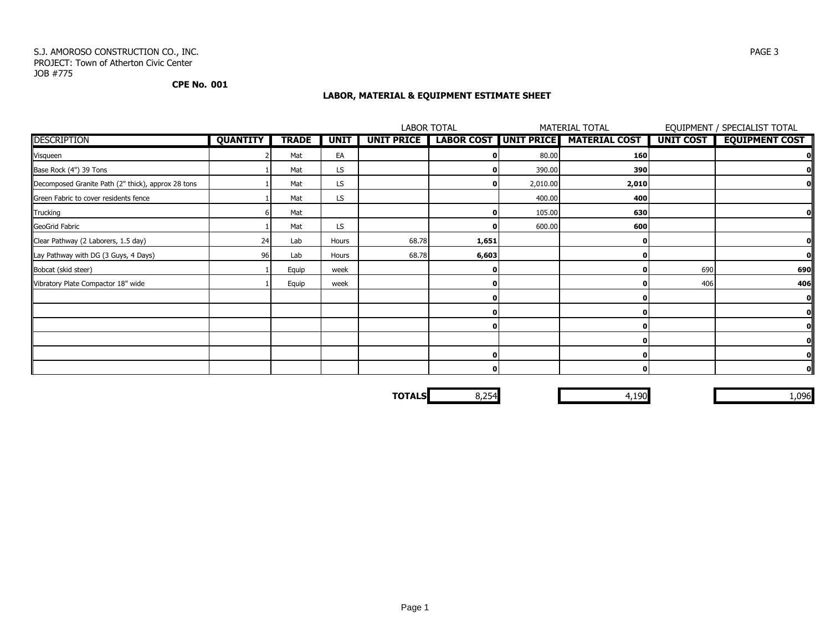#### S.J. AMOROSO CONSTRUCTION CO., INC. PAGE 3 PROJECT: Town of Atherton Civic Center JOB #775

#### **CPE No. 001**

### **LABOR, MATERIAL & EQUIPMENT ESTIMATE SHEET**

|                                                    |                 |              |             |                   | <b>LABOR TOTAL</b> |          | <b>MATERIAL TOTAL</b>               |                  | EQUIPMENT / SPECIALIST TOTAL |
|----------------------------------------------------|-----------------|--------------|-------------|-------------------|--------------------|----------|-------------------------------------|------------------|------------------------------|
| <b>DESCRIPTION</b>                                 | <b>QUANTITY</b> | <b>TRADE</b> | <b>UNIT</b> | <b>UNIT PRICE</b> |                    |          | LABOR COST UNIT PRICE MATERIAL COST | <b>UNIT COST</b> | <b>EQUIPMENT COST</b>        |
| Visqueen                                           |                 | Mat          | EA          |                   |                    | 80.00    | 160                                 |                  |                              |
| Base Rock (4") 39 Tons                             |                 | Mat          | LS          |                   |                    | 390.00   | 390                                 |                  |                              |
| Decomposed Granite Path (2" thick), approx 28 tons |                 | Mat          | LS.         |                   | 01                 | 2,010.00 | 2,010                               |                  |                              |
| Green Fabric to cover residents fence              |                 | Mat          | LS.         |                   |                    | 400.00   | 400                                 |                  |                              |
| Trucking                                           |                 | Mat          |             |                   | ΩI                 | 105.00   | 630                                 |                  |                              |
| GeoGrid Fabric                                     |                 | Mat          | LS          |                   |                    | 600.00   | 600                                 |                  |                              |
| Clear Pathway (2 Laborers, 1.5 day)                | 24              | Lab          | Hours       | 68.78             | 1,651              |          |                                     |                  |                              |
| Lay Pathway with DG (3 Guys, 4 Days)               | 96              | Lab          | Hours       | 68.78             | 6,603              |          |                                     |                  |                              |
| Bobcat (skid steer)                                |                 | Equip        | week        |                   | 01                 |          |                                     | 690              | 690                          |
| Vibratory Plate Compactor 18" wide                 |                 | Equip        | week        |                   |                    |          |                                     | 406              | 406                          |
|                                                    |                 |              |             |                   |                    |          |                                     |                  |                              |
|                                                    |                 |              |             |                   |                    |          |                                     |                  |                              |
|                                                    |                 |              |             |                   |                    |          |                                     |                  |                              |
|                                                    |                 |              |             |                   |                    |          |                                     |                  |                              |
|                                                    |                 |              |             |                   | ΟI                 |          |                                     |                  |                              |
|                                                    |                 |              |             |                   | οI                 |          |                                     |                  | O                            |

**TOTALS** 8,254 8,254 8,254 8,254 8,254 8,254 8,096 8,096 8,096 8,096 8,096 8,096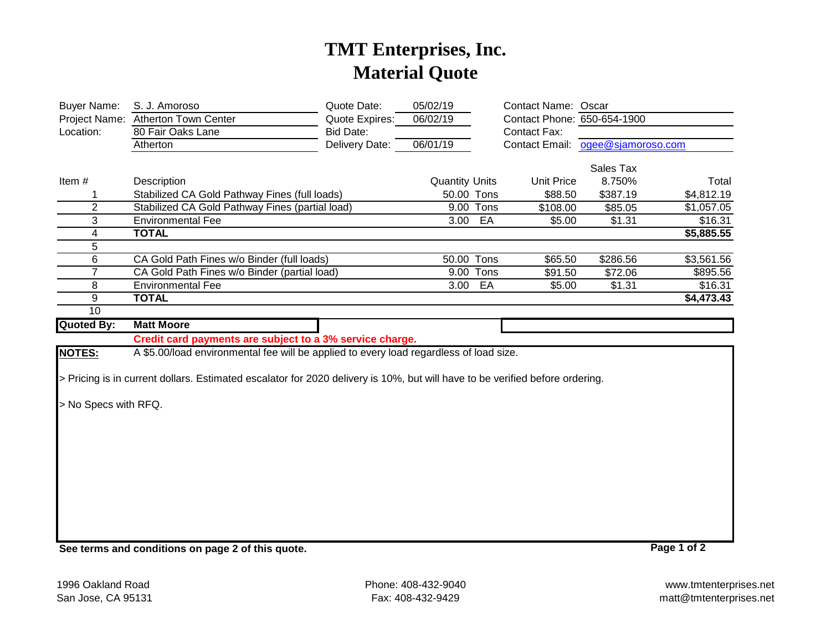# **TMT Enterprises, Inc. Material Quote**

| <b>Buyer Name:</b><br>Project Name:<br>Location: | S. J. Amoroso<br><b>Atherton Town Center</b><br>80 Fair Oaks Lane<br>Atherton                                                | Quote Date:<br>Quote Expires:<br>Bid Date:<br>Delivery Date: | 05/02/19<br>06/02/19<br>06/01/19 |           | <b>Contact Name: Oscar</b><br>Contact Phone: 650-654-1900<br><b>Contact Fax:</b><br><b>Contact Email:</b> | ogee@sjamoroso.com |             |
|--------------------------------------------------|------------------------------------------------------------------------------------------------------------------------------|--------------------------------------------------------------|----------------------------------|-----------|-----------------------------------------------------------------------------------------------------------|--------------------|-------------|
|                                                  |                                                                                                                              |                                                              |                                  |           |                                                                                                           | Sales Tax          |             |
| Item#                                            | Description                                                                                                                  |                                                              | <b>Quantity Units</b>            |           | <b>Unit Price</b>                                                                                         | 8.750%             | Total       |
| 1                                                | Stabilized CA Gold Pathway Fines (full loads)                                                                                |                                                              | 50.00 Tons                       |           | \$88.50                                                                                                   | \$387.19           | \$4,812.19  |
| $\overline{2}$                                   | Stabilized CA Gold Pathway Fines (partial load)                                                                              |                                                              |                                  | 9.00 Tons | \$108.00                                                                                                  | \$85.05            | \$1,057.05  |
| 3                                                | <b>Environmental Fee</b>                                                                                                     |                                                              | 3.00                             | EA        | \$5.00                                                                                                    | \$1.31             | \$16.31     |
| 4                                                | <b>TOTAL</b>                                                                                                                 |                                                              |                                  |           |                                                                                                           |                    | \$5,885.55  |
| 5                                                |                                                                                                                              |                                                              |                                  |           |                                                                                                           |                    |             |
| 6                                                | CA Gold Path Fines w/o Binder (full loads)                                                                                   |                                                              | 50.00 Tons                       |           | \$65.50                                                                                                   | \$286.56           | \$3,561.56  |
| $\overline{7}$                                   | CA Gold Path Fines w/o Binder (partial load)                                                                                 |                                                              |                                  | 9.00 Tons | \$91.50                                                                                                   | \$72.06            | \$895.56    |
| 8                                                | <b>Environmental Fee</b>                                                                                                     |                                                              | 3.00                             | EA        | \$5.00                                                                                                    | \$1.31             | \$16.31     |
| 9                                                | <b>TOTAL</b>                                                                                                                 |                                                              |                                  |           |                                                                                                           |                    | \$4,473.43  |
| 10                                               |                                                                                                                              |                                                              |                                  |           |                                                                                                           |                    |             |
| <b>Quoted By:</b>                                | <b>Matt Moore</b>                                                                                                            |                                                              |                                  |           |                                                                                                           |                    |             |
|                                                  | Credit card payments are subject to a 3% service charge.                                                                     |                                                              |                                  |           |                                                                                                           |                    |             |
| <b>NOTES:</b>                                    | A \$5.00/load environmental fee will be applied to every load regardless of load size.                                       |                                                              |                                  |           |                                                                                                           |                    |             |
|                                                  |                                                                                                                              |                                                              |                                  |           |                                                                                                           |                    |             |
|                                                  | > Pricing is in current dollars. Estimated escalator for 2020 delivery is 10%, but will have to be verified before ordering. |                                                              |                                  |           |                                                                                                           |                    |             |
|                                                  |                                                                                                                              |                                                              |                                  |           |                                                                                                           |                    |             |
| > No Specs with RFQ.                             |                                                                                                                              |                                                              |                                  |           |                                                                                                           |                    |             |
|                                                  |                                                                                                                              |                                                              |                                  |           |                                                                                                           |                    |             |
|                                                  |                                                                                                                              |                                                              |                                  |           |                                                                                                           |                    |             |
|                                                  |                                                                                                                              |                                                              |                                  |           |                                                                                                           |                    |             |
|                                                  |                                                                                                                              |                                                              |                                  |           |                                                                                                           |                    |             |
|                                                  |                                                                                                                              |                                                              |                                  |           |                                                                                                           |                    |             |
|                                                  |                                                                                                                              |                                                              |                                  |           |                                                                                                           |                    |             |
|                                                  |                                                                                                                              |                                                              |                                  |           |                                                                                                           |                    |             |
|                                                  |                                                                                                                              |                                                              |                                  |           |                                                                                                           |                    |             |
|                                                  |                                                                                                                              |                                                              |                                  |           |                                                                                                           |                    |             |
|                                                  |                                                                                                                              |                                                              |                                  |           |                                                                                                           |                    |             |
|                                                  | See terms and conditions on page 2 of this quote.                                                                            |                                                              |                                  |           |                                                                                                           |                    | Page 1 of 2 |